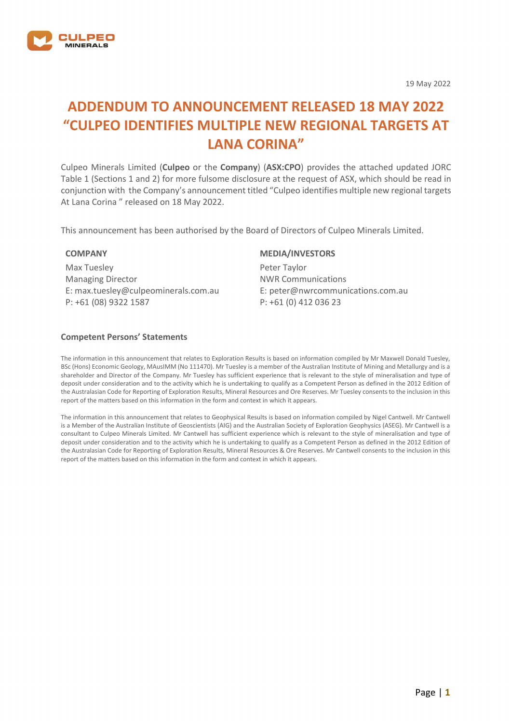

19 May 2022

# **ADDENDUM TO ANNOUNCEMENT RELEASED 18 MAY 2022 "CULPEO IDENTIFIES MULTIPLE NEW REGIONAL TARGETS AT LANA CORINA"**

Culpeo Minerals Limited (**Culpeo** or the **Company**) (**ASX:CPO**) provides the attached updated JORC Table 1 (Sections 1 and 2) for more fulsome disclosure at the request of ASX, which should be read in conjunction with the Company's announcement titled "Culpeo identifies multiple new regional targets At Lana Corina " released on 18 May 2022.

This announcement has been authorised by the Board of Directors of Culpeo Minerals Limited.

#### **COMPANY**

Max Tuesley Managing Director E: max.tuesley@culpeominerals.com.au P: +61 (08) 9322 1587

#### **MEDIA/INVESTORS**

Peter Taylor NWR Communications E: peter@nwrcommunications.com.au P: +61 (0) 412 036 23

#### **Competent Persons' Statements**

The information in this announcement that relates to Exploration Results is based on information compiled by Mr Maxwell Donald Tuesley, BSc (Hons) Economic Geology, MAusIMM (No 111470). Mr Tuesley is a member of the Australian Institute of Mining and Metallurgy and is a shareholder and Director of the Company. Mr Tuesley has sufficient experience that is relevant to the style of mineralisation and type of deposit under consideration and to the activity which he is undertaking to qualify as a Competent Person as defined in the 2012 Edition of the Australasian Code for Reporting of Exploration Results, Mineral Resources and Ore Reserves. Mr Tuesley consents to the inclusion in this report of the matters based on this information in the form and context in which it appears.

The information in this announcement that relates to Geophysical Results is based on information compiled by Nigel Cantwell. Mr Cantwell is a Member of the Australian Institute of Geoscientists (AIG) and the Australian Society of Exploration Geophysics (ASEG). Mr Cantwell is a consultant to Culpeo Minerals Limited. Mr Cantwell has sufficient experience which is relevant to the style of mineralisation and type of deposit under consideration and to the activity which he is undertaking to qualify as a Competent Person as defined in the 2012 Edition of the Australasian Code for Reporting of Exploration Results, Mineral Resources & Ore Reserves. Mr Cantwell consents to the inclusion in this report of the matters based on this information in the form and context in which it appears.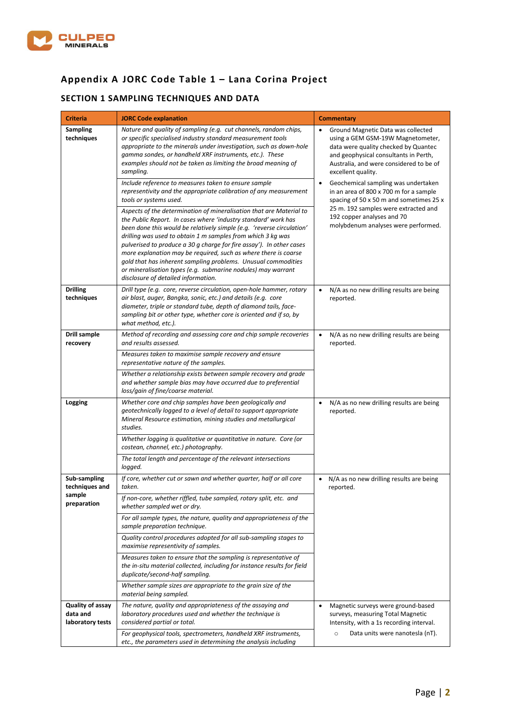

## **Appendix A JORC Code Table 1 – Lana Corina Project**

## **SECTION 1 SAMPLING TECHNIQUES AND DATA**

| <b>Criteria</b>                                  | <b>JORC Code explanation</b>                                                                                                                                                                                                                                                                                                                                                                                                                                                                                                                                                                     | <b>Commentary</b>                                                                                                                                                                                                                          |
|--------------------------------------------------|--------------------------------------------------------------------------------------------------------------------------------------------------------------------------------------------------------------------------------------------------------------------------------------------------------------------------------------------------------------------------------------------------------------------------------------------------------------------------------------------------------------------------------------------------------------------------------------------------|--------------------------------------------------------------------------------------------------------------------------------------------------------------------------------------------------------------------------------------------|
| Sampling<br>techniques                           | Nature and quality of sampling (e.g. cut channels, random chips,<br>or specific specialised industry standard measurement tools<br>appropriate to the minerals under investigation, such as down-hole<br>gamma sondes, or handheld XRF instruments, etc.). These<br>examples should not be taken as limiting the broad meaning of<br>sampling.                                                                                                                                                                                                                                                   | Ground Magnetic Data was collected<br>$\bullet$<br>using a GEM GSM-19W Magnetometer,<br>data were quality checked by Quantec<br>and geophysical consultants in Perth,<br>Australia, and were considered to be of<br>excellent quality.     |
|                                                  | Include reference to measures taken to ensure sample<br>representivity and the appropriate calibration of any measurement<br>tools or systems used.                                                                                                                                                                                                                                                                                                                                                                                                                                              | Geochemical sampling was undertaken<br>٠<br>in an area of 800 x 700 m for a sample<br>spacing of 50 x 50 m and sometimes 25 x<br>25 m. 192 samples were extracted and<br>192 copper analyses and 70<br>molybdenum analyses were performed. |
|                                                  | Aspects of the determination of mineralisation that are Material to<br>the Public Report. In cases where 'industry standard' work has<br>been done this would be relatively simple (e.g. 'reverse circulation'<br>drilling was used to obtain 1 m samples from which 3 kg was<br>pulverised to produce a 30 g charge for fire assay'). In other cases<br>more explanation may be required, such as where there is coarse<br>gold that has inherent sampling problems. Unusual commodities<br>or mineralisation types (e.g. submarine nodules) may warrant<br>disclosure of detailed information. |                                                                                                                                                                                                                                            |
| <b>Drilling</b><br>techniques                    | Drill type (e.g. core, reverse circulation, open-hole hammer, rotary<br>air blast, auger, Bangka, sonic, etc.) and details (e.g. core<br>diameter, triple or standard tube, depth of diamond tails, face-<br>sampling bit or other type, whether core is oriented and if so, by<br>what method, etc.).                                                                                                                                                                                                                                                                                           | N/A as no new drilling results are being<br>$\bullet$<br>reported.                                                                                                                                                                         |
| <b>Drill sample</b><br>recovery                  | Method of recording and assessing core and chip sample recoveries<br>and results assessed.                                                                                                                                                                                                                                                                                                                                                                                                                                                                                                       | N/A as no new drilling results are being<br>$\bullet$<br>reported.                                                                                                                                                                         |
|                                                  | Measures taken to maximise sample recovery and ensure<br>representative nature of the samples.                                                                                                                                                                                                                                                                                                                                                                                                                                                                                                   |                                                                                                                                                                                                                                            |
|                                                  | Whether a relationship exists between sample recovery and grade<br>and whether sample bias may have occurred due to preferential<br>loss/gain of fine/coarse material.                                                                                                                                                                                                                                                                                                                                                                                                                           |                                                                                                                                                                                                                                            |
| Logging                                          | Whether core and chip samples have been geologically and<br>geotechnically logged to a level of detail to support appropriate<br>Mineral Resource estimation, mining studies and metallurgical<br>studies.                                                                                                                                                                                                                                                                                                                                                                                       | N/A as no new drilling results are being<br>$\bullet$<br>reported.                                                                                                                                                                         |
|                                                  | Whether logging is qualitative or quantitative in nature. Core (or<br>costean, channel, etc.) photography.                                                                                                                                                                                                                                                                                                                                                                                                                                                                                       |                                                                                                                                                                                                                                            |
|                                                  | The total length and percentage of the relevant intersections<br>logged.                                                                                                                                                                                                                                                                                                                                                                                                                                                                                                                         |                                                                                                                                                                                                                                            |
| Sub-sampling<br>techniques and                   | If core, whether cut or sawn and whether quarter, half or all core<br>taken.                                                                                                                                                                                                                                                                                                                                                                                                                                                                                                                     | N/A as no new drilling results are being<br>$\bullet$<br>reported.                                                                                                                                                                         |
| sample<br>preparation                            | If non-core, whether riffled, tube sampled, rotary split, etc. and<br>whether sampled wet or dry.                                                                                                                                                                                                                                                                                                                                                                                                                                                                                                |                                                                                                                                                                                                                                            |
|                                                  | For all sample types, the nature, quality and appropriateness of the<br>sample preparation technique.                                                                                                                                                                                                                                                                                                                                                                                                                                                                                            |                                                                                                                                                                                                                                            |
|                                                  | Quality control procedures adopted for all sub-sampling stages to<br>maximise representivity of samples.                                                                                                                                                                                                                                                                                                                                                                                                                                                                                         |                                                                                                                                                                                                                                            |
|                                                  | Measures taken to ensure that the sampling is representative of<br>the in-situ material collected, including for instance results for field<br>duplicate/second-half sampling.                                                                                                                                                                                                                                                                                                                                                                                                                   |                                                                                                                                                                                                                                            |
|                                                  | Whether sample sizes are appropriate to the grain size of the<br>material being sampled.                                                                                                                                                                                                                                                                                                                                                                                                                                                                                                         |                                                                                                                                                                                                                                            |
| Quality of assay<br>data and<br>laboratory tests | The nature, quality and appropriateness of the assaying and<br>laboratory procedures used and whether the technique is<br>considered partial or total.                                                                                                                                                                                                                                                                                                                                                                                                                                           | Magnetic surveys were ground-based<br>$\bullet$<br>surveys, measuring Total Magnetic<br>Intensity, with a 1s recording interval.                                                                                                           |
|                                                  | For geophysical tools, spectrometers, handheld XRF instruments,<br>etc., the parameters used in determining the analysis including                                                                                                                                                                                                                                                                                                                                                                                                                                                               | Data units were nanotesla (nT).<br>$\circ$                                                                                                                                                                                                 |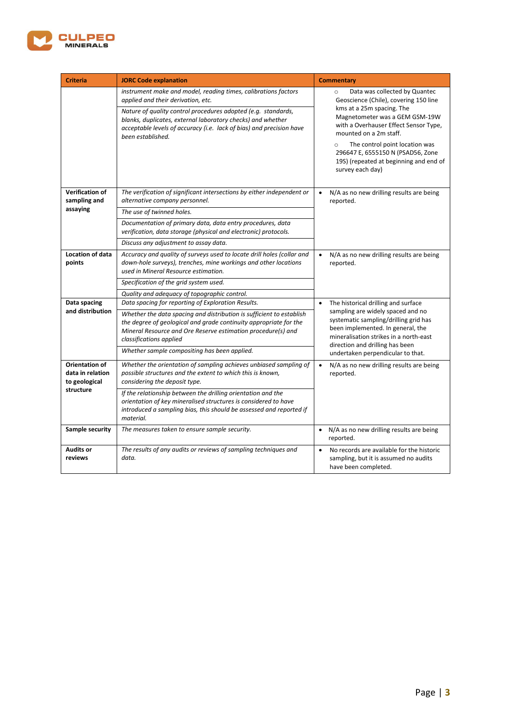

| <b>Criteria</b>                                                  | <b>JORC Code explanation</b>                                                                                                                                                                                                                                                                                                                                                            | <b>Commentary</b>                                                                                                                                                                                                                                                                                                                                                   |
|------------------------------------------------------------------|-----------------------------------------------------------------------------------------------------------------------------------------------------------------------------------------------------------------------------------------------------------------------------------------------------------------------------------------------------------------------------------------|---------------------------------------------------------------------------------------------------------------------------------------------------------------------------------------------------------------------------------------------------------------------------------------------------------------------------------------------------------------------|
|                                                                  | instrument make and model, reading times, calibrations factors<br>applied and their derivation, etc.<br>Nature of quality control procedures adopted (e.g. standards,<br>blanks, duplicates, external laboratory checks) and whether<br>acceptable levels of accuracy (i.e. lack of bias) and precision have<br>been established.                                                       | Data was collected by Quantec<br>$\circ$<br>Geoscience (Chile), covering 150 line<br>kms at a 25m spacing. The<br>Magnetometer was a GEM GSM-19W<br>with a Overhauser Effect Sensor Type,<br>mounted on a 2m staff.<br>The control point location was<br>$\circ$<br>296647 E, 6555150 N (PSAD56, Zone<br>19S) (repeated at beginning and end of<br>survey each day) |
| <b>Verification of</b><br>sampling and<br>assaying               | The verification of significant intersections by either independent or<br>alternative company personnel.<br>The use of twinned holes.<br>Documentation of primary data, data entry procedures, data<br>verification, data storage (physical and electronic) protocols.<br>Discuss any adjustment to assay data.                                                                         | N/A as no new drilling results are being<br>$\bullet$<br>reported.                                                                                                                                                                                                                                                                                                  |
| <b>Location of data</b><br>points                                | Accuracy and quality of surveys used to locate drill holes (collar and<br>down-hole surveys), trenches, mine workings and other locations<br>used in Mineral Resource estimation.<br>Specification of the grid system used.<br>Quality and adequacy of topographic control.                                                                                                             | N/A as no new drilling results are being<br>$\bullet$<br>reported.                                                                                                                                                                                                                                                                                                  |
| Data spacing<br>and distribution                                 | Data spacing for reporting of Exploration Results.<br>Whether the data spacing and distribution is sufficient to establish<br>the degree of geological and grade continuity appropriate for the<br>Mineral Resource and Ore Reserve estimation procedure(s) and<br>classifications applied<br>Whether sample compositing has been applied.                                              | The historical drilling and surface<br>$\bullet$<br>sampling are widely spaced and no<br>systematic sampling/drilling grid has<br>been implemented. In general, the<br>mineralisation strikes in a north-east<br>direction and drilling has been<br>undertaken perpendicular to that.                                                                               |
| Orientation of<br>data in relation<br>to geological<br>structure | Whether the orientation of sampling achieves unbiased sampling of<br>possible structures and the extent to which this is known,<br>considering the deposit type.<br>If the relationship between the drilling orientation and the<br>orientation of key mineralised structures is considered to have<br>introduced a sampling bias, this should be assessed and reported if<br>material. | $\bullet$<br>N/A as no new drilling results are being<br>reported.                                                                                                                                                                                                                                                                                                  |
| <b>Sample security</b>                                           | The measures taken to ensure sample security.                                                                                                                                                                                                                                                                                                                                           | N/A as no new drilling results are being<br>$\bullet$<br>reported.                                                                                                                                                                                                                                                                                                  |
| <b>Audits or</b><br>reviews                                      | The results of any audits or reviews of sampling techniques and<br>data.                                                                                                                                                                                                                                                                                                                | No records are available for the historic<br>$\bullet$<br>sampling, but it is assumed no audits<br>have been completed.                                                                                                                                                                                                                                             |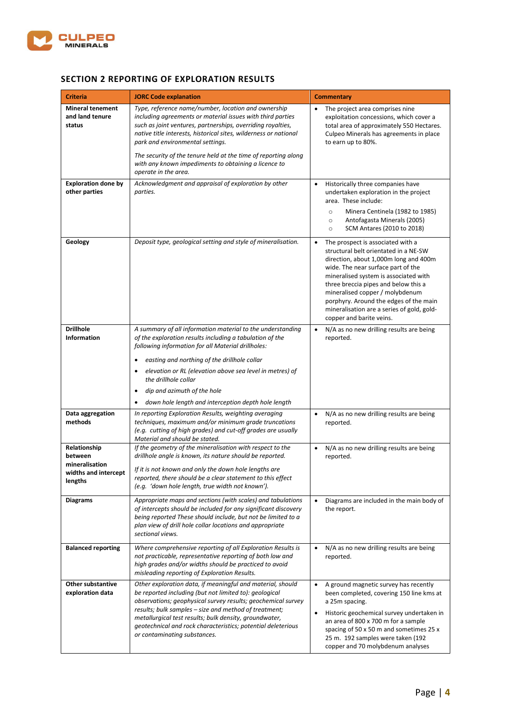

### **SECTION 2 REPORTING OF EXPLORATION RESULTS**

| <b>Criteria</b>                                                              | <b>JORC Code explanation</b>                                                                                                                                                                                                                                                                                                                                                                                                               | <b>Commentary</b>                                                                                                                                                                                                                                                                                                                                                                                              |
|------------------------------------------------------------------------------|--------------------------------------------------------------------------------------------------------------------------------------------------------------------------------------------------------------------------------------------------------------------------------------------------------------------------------------------------------------------------------------------------------------------------------------------|----------------------------------------------------------------------------------------------------------------------------------------------------------------------------------------------------------------------------------------------------------------------------------------------------------------------------------------------------------------------------------------------------------------|
| <b>Mineral tenement</b><br>and land tenure<br>status                         | Type, reference name/number, location and ownership<br>including agreements or material issues with third parties<br>such as joint ventures, partnerships, overriding royalties,<br>native title interests, historical sites, wilderness or national<br>park and environmental settings.<br>The security of the tenure held at the time of reporting along<br>with any known impediments to obtaining a licence to<br>operate in the area. | The project area comprises nine<br>exploitation concessions, which cover a<br>total area of approximately 550 Hectares.<br>Culpeo Minerals has agreements in place<br>to earn up to 80%.                                                                                                                                                                                                                       |
| <b>Exploration done by</b><br>other parties                                  | Acknowledgment and appraisal of exploration by other<br>parties.                                                                                                                                                                                                                                                                                                                                                                           | Historically three companies have<br>$\bullet$<br>undertaken exploration in the project<br>area. These include:<br>Minera Centinela (1982 to 1985)<br>$\circ$<br>Antofagasta Minerals (2005)<br>$\circ$<br>SCM Antares (2010 to 2018)<br>$\circ$                                                                                                                                                               |
| Geology                                                                      | Deposit type, geological setting and style of mineralisation.                                                                                                                                                                                                                                                                                                                                                                              | The prospect is associated with a<br>$\bullet$<br>structural belt orientated in a NE-SW<br>direction, about 1,000m long and 400m<br>wide. The near surface part of the<br>mineralised system is associated with<br>three breccia pipes and below this a<br>mineralised copper / molybdenum<br>porphyry. Around the edges of the main<br>mineralisation are a series of gold, gold-<br>copper and barite veins. |
| <b>Drillhole</b><br><b>Information</b>                                       | A summary of all information material to the understanding<br>of the exploration results including a tabulation of the<br>following information for all Material drillholes:<br>easting and northing of the drillhole collar<br>٠<br>elevation or RL (elevation above sea level in metres) of<br>٠<br>the drillhole collar<br>dip and azimuth of the hole<br>٠<br>down hole length and interception depth hole length<br>٠                 | N/A as no new drilling results are being<br>$\bullet$<br>reported.                                                                                                                                                                                                                                                                                                                                             |
| Data aggregation<br>methods                                                  | In reporting Exploration Results, weighting averaging<br>techniques, maximum and/or minimum grade truncations<br>(e.g. cutting of high grades) and cut-off grades are usually<br>Material and should be stated.                                                                                                                                                                                                                            | N/A as no new drilling results are being<br>$\bullet$<br>reported.                                                                                                                                                                                                                                                                                                                                             |
| Relationship<br>between<br>mineralisation<br>widths and intercept<br>lengths | If the geometry of the mineralisation with respect to the<br>drillhole angle is known, its nature should be reported.<br>If it is not known and only the down hole lengths are<br>reported, there should be a clear statement to this effect<br>(e.g. 'down hole length, true width not known').<br>Appropriate maps and sections (with scales) and tabulations                                                                            | N/A as no new drilling results are being<br>$\bullet$<br>reported.<br>$\bullet$                                                                                                                                                                                                                                                                                                                                |
| <b>Diagrams</b>                                                              | of intercepts should be included for any significant discovery<br>being reported These should include, but not be limited to a<br>plan view of drill hole collar locations and appropriate<br>sectional views.                                                                                                                                                                                                                             | Diagrams are included in the main body of<br>the report.                                                                                                                                                                                                                                                                                                                                                       |
| <b>Balanced reporting</b>                                                    | Where comprehensive reporting of all Exploration Results is<br>not practicable, representative reporting of both low and<br>high grades and/or widths should be practiced to avoid<br>misleading reporting of Exploration Results.                                                                                                                                                                                                         | N/A as no new drilling results are being<br>$\bullet$<br>reported.                                                                                                                                                                                                                                                                                                                                             |
| Other substantive<br>exploration data                                        | Other exploration data, if meaningful and material, should<br>be reported including (but not limited to): geological<br>observations; geophysical survey results; geochemical survey<br>results; bulk samples - size and method of treatment;<br>metallurgical test results; bulk density, groundwater,<br>geotechnical and rock characteristics; potential deleterious<br>or contaminating substances.                                    | A ground magnetic survey has recently<br>$\bullet$<br>been completed, covering 150 line kms at<br>a 25m spacing.<br>Historic geochemical survey undertaken in<br>$\bullet$<br>an area of 800 x 700 m for a sample<br>spacing of 50 x 50 m and sometimes 25 x<br>25 m. 192 samples were taken (192<br>copper and 70 molybdenum analyses                                                                         |